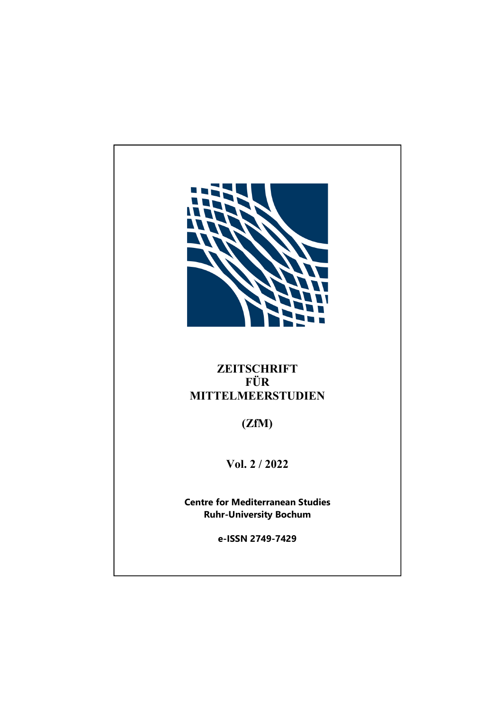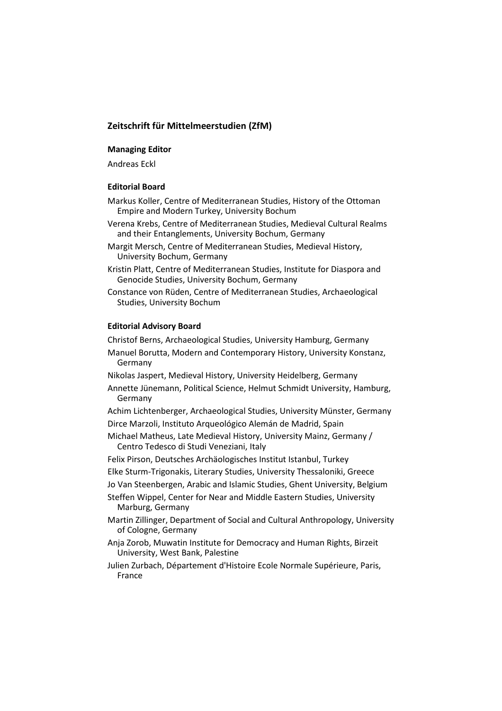# **Zeitschrift für Mittelmeerstudien (ZfM)**

### **Managing Editor**

Andreas Eckl

#### **Editorial Board**

- Markus Koller, Centre of Mediterranean Studies, History of the Ottoman Empire and Modern Turkey, University Bochum
- Verena Krebs, Centre of Mediterranean Studies, Medieval Cultural Realms and their Entanglements, University Bochum, Germany
- Margit Mersch, Centre of Mediterranean Studies, Medieval History, University Bochum, Germany
- Kristin Platt, Centre of Mediterranean Studies, Institute for Diaspora and Genocide Studies, University Bochum, Germany
- Constance von Rüden, Centre of Mediterranean Studies, Archaeological Studies, University Bochum

#### **Editorial Advisory Board**

Christof Berns, Archaeological Studies, University Hamburg, Germany

- Manuel Borutta, Modern and Contemporary History, University Konstanz, Germany
- Nikolas Jaspert, Medieval History, University Heidelberg, Germany
- Annette Jünemann, Political Science, Helmut Schmidt University, Hamburg, Germany
- Achim Lichtenberger, Archaeological Studies, University Münster, Germany Dirce Marzoli, Instituto Arqueológico Alemán de Madrid, Spain
- Michael Matheus, Late Medieval History, University Mainz, Germany / Centro Tedesco di Studi Veneziani, Italy
- Felix Pirson, Deutsches Archäologisches Institut Istanbul, Turkey
- Elke Sturm-Trigonakis, Literary Studies, University Thessaloniki, Greece
- Jo Van Steenbergen, Arabic and Islamic Studies, Ghent University, Belgium
- Steffen Wippel, Center for Near and Middle Eastern Studies, University Marburg, Germany
- Martin Zillinger, Department of Social and Cultural Anthropology, University of Cologne, Germany
- Anja Zorob, Muwatin Institute for Democracy and Human Rights, Birzeit University, West Bank, Palestine
- Julien Zurbach, Département d'Histoire Ecole Normale Supérieure, Paris, France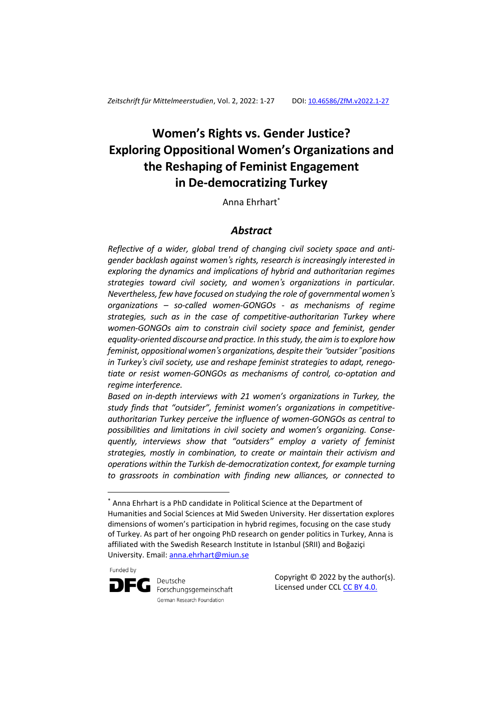# **Women's Rights vs. Gender Justice? Exploring Oppositional Women's Organizations and the Reshaping of Feminist Engagement in De-democratizing Turkey**

Anna Ehrhart\*

# *Abstract*

*Reflective of a wider, global trend of changing civil society space and antigender backlash against women's rights, research is increasingly interested in exploring the dynamics and implications of hybrid and authoritarian regimes strategies toward civil society, and women's organizations in particular. Nevertheless, few have focused on studying the role of governmental women's organizations – so-called women-GONGOs - as mechanisms of regime strategies, such as in the case of competitive-authoritarian Turkey where women-GONGOs aim to constrain civil society space and feminist, gender equality-oriented discourse and practice. In this study, the aim is to explore how feminist, oppositional women's organizations, despite their* "*outsider*" *positions in Turkey's civil society, use and reshape feminist strategies to adapt, renegotiate or resist women-GONGOs as mechanisms of control, co-optation and regime interference.*

*Based on in-depth interviews with 21 women's organizations in Turkey, the study finds that "outsider", feminist women's organizations in competitiveauthoritarian Turkey perceive the influence of women-GONGOs as central to possibilities and limitations in civil society and women's organizing. Consequently, interviews show that "outsiders" employ a variety of feminist strategies, mostly in combination, to create or maintain their activism and operations within the Turkish de-democratization context, for example turning to grassroots in combination with finding new alliances, or connected to* 

Funded by

<u>.</u>



Deutsche Forschungsgemeinschaft German Research Foundation

Copyright © 2022 by the author(s). Licensed under CCL [CC BY 4.0.](https://creativecommons.org/licenses/by/4.0/)

<sup>\*</sup> Anna Ehrhart is a PhD candidate in Political Science at the Department of Humanities and Social Sciences at Mid Sweden University. Her dissertation explores dimensions of women's participation in hybrid regimes, focusing on the case study of Turkey. As part of her ongoing PhD research on gender politics in Turkey, Anna is affiliated with the Swedish Research Institute in Istanbul (SRII) and Boğaziçi University. Email[: anna.ehrhart@miun.se](mailto:anna.ehrhart@miun.se)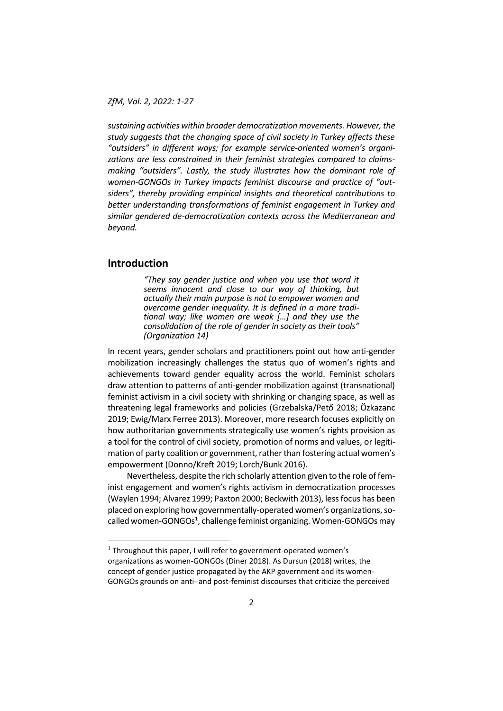*sustaining activities within broader democratization movements. However, the study suggests that the changing space of civil society in Turkey affects these "outsiders" in different ways; for example service-oriented women's organizations are less constrained in their feminist strategies compared to claimsmaking "outsiders". Lastly, the study illustrates how the dominant role of women-GONGOs in Turkey impacts feminist discourse and practice of "outsiders", thereby providing empirical insights and theoretical contributions to better understanding transformations of feminist engagement in Turkey and similar gendered de-democratization contexts across the Mediterranean and beyond.*

# **Introduction**

<u>.</u>

*"They say gender justice and when you use that word it seems innocent and close to our way of thinking, but actually their main purpose is not to empower women and overcome gender inequality. It is defined in a more traditional way; like women are weak […] and they use the consolidation of the role of gender in society as their tools" (Organization 14)*

In recent years, gender scholars and practitioners point out how anti-gender mobilization increasingly challenges the status quo of women's rights and achievements toward gender equality across the world. Feminist scholars draw attention to patterns of anti-gender mobilization against (transnational) feminist activism in a civil society with shrinking or changing space, as well as threatening legal frameworks and policies (Grzebalska/Pető 2018; Özkazanc 2019; Ewig/Marx Ferree 2013). Moreover, more research focuses explicitly on how authoritarian governments strategically use women's rights provision as a tool for the control of civil society, promotion of norms and values, or legitimation of party coalition or government, rather than fostering actual women's empowerment (Donno/Kreft 2019; Lorch/Bunk 2016).

Nevertheless, despite the rich scholarly attention given to the role of feminist engagement and women's rights activism in democratization processes (Waylen 1994; Alvarez 1999; Paxton 2000; Beckwith 2013), less focus has been placed on exploring how governmentally-operated women's organizations, socalled women-GONGOs<sup>1</sup>, challenge feminist organizing. Women-GONGOs may

 $<sup>1</sup>$  Throughout this paper, I will refer to government-operated women's</sup> organizations as women-GONGOs (Diner 2018). As Dursun (2018) writes, the concept of gender justice propagated by the AKP government and its women-GONGOs grounds on anti- and post-feminist discourses that criticize the perceived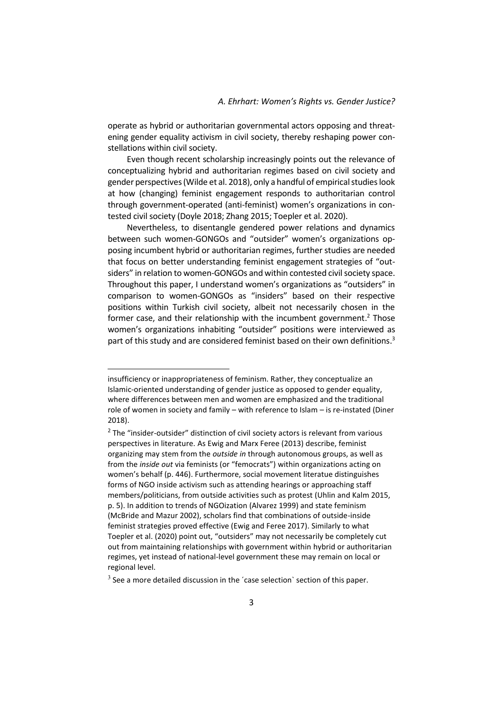operate as hybrid or authoritarian governmental actors opposing and threatening gender equality activism in civil society, thereby reshaping power constellations within civil society.

Even though recent scholarship increasingly points out the relevance of conceptualizing hybrid and authoritarian regimes based on civil society and gender perspectives (Wilde et al. 2018), only a handful of empirical studies look at how (changing) feminist engagement responds to authoritarian control through government-operated (anti-feminist) women's organizations in contested civil society (Doyle 2018; Zhang 2015; Toepler et al. 2020).

Nevertheless, to disentangle gendered power relations and dynamics between such women-GONGOs and "outsider" women's organizations opposing incumbent hybrid or authoritarian regimes, further studies are needed that focus on better understanding feminist engagement strategies of "outsiders" in relation to women-GONGOs and within contested civil society space. Throughout this paper, I understand women's organizations as "outsiders" in comparison to women-GONGOs as "insiders" based on their respective positions within Turkish civil society, albeit not necessarily chosen in the former case, and their relationship with the incumbent government.<sup>2</sup> Those women's organizations inhabiting "outsider" positions were interviewed as part of this study and are considered feminist based on their own definitions. 3

<u>.</u>

insufficiency or inappropriateness of feminism. Rather, they conceptualize an Islamic-oriented understanding of gender justice as opposed to gender equality, where differences between men and women are emphasized and the traditional role of women in society and family – with reference to Islam – is re-instated (Diner 2018).

 $2$  The "insider-outsider" distinction of civil society actors is relevant from various perspectives in literature. As Ewig and Marx Feree (2013) describe, feminist organizing may stem from the *outside in* through autonomous groups, as well as from the *inside out* via feminists (or "femocrats") within organizations acting on women's behalf (p. 446). Furthermore, social movement literatue distinguishes forms of NGO inside activism such as attending hearings or approaching staff members/politicians, from outside activities such as protest (Uhlin and Kalm 2015, p. 5). In addition to trends of NGOization (Alvarez 1999) and state feminism (McBride and Mazur 2002), scholars find that combinations of outside-inside feminist strategies proved effective (Ewig and Feree 2017). Similarly to what Toepler et al. (2020) point out, "outsiders" may not necessarily be completely cut out from maintaining relationships with government within hybrid or authoritarian regimes, yet instead of national-level government these may remain on local or regional level.

 $3$  See a more detailed discussion in the 'case selection' section of this paper.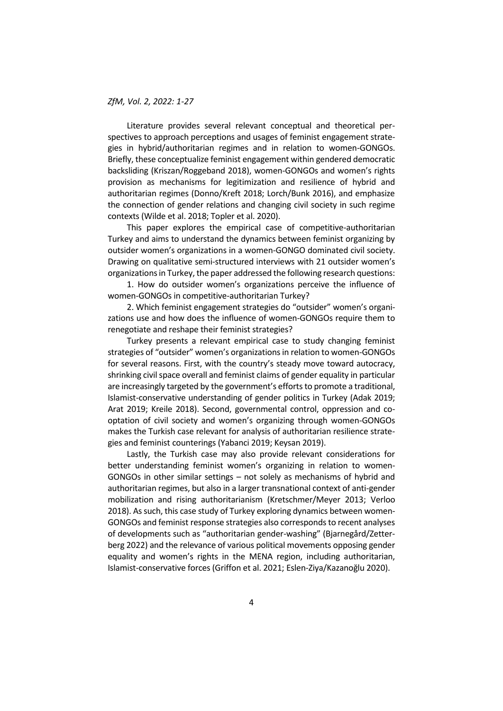Literature provides several relevant conceptual and theoretical perspectives to approach perceptions and usages of feminist engagement strategies in hybrid/authoritarian regimes and in relation to women-GONGOs. Briefly, these conceptualize feminist engagement within gendered democratic backsliding (Kriszan/Roggeband 2018), women-GONGOs and women's rights provision as mechanisms for legitimization and resilience of hybrid and authoritarian regimes (Donno/Kreft 2018; Lorch/Bunk 2016), and emphasize the connection of gender relations and changing civil society in such regime contexts (Wilde et al. 2018; Topler et al. 2020).

This paper explores the empirical case of competitive-authoritarian Turkey and aims to understand the dynamics between feminist organizing by outsider women's organizations in a women-GONGO dominated civil society. Drawing on qualitative semi-structured interviews with 21 outsider women's organizations in Turkey, the paper addressed the following research questions:

1. How do outsider women's organizations perceive the influence of women-GONGOs in competitive-authoritarian Turkey?

2. Which feminist engagement strategies do "outsider" women's organizations use and how does the influence of women-GONGOs require them to renegotiate and reshape their feminist strategies?

Turkey presents a relevant empirical case to study changing feminist strategies of "outsider" women's organizations in relation to women-GONGOs for several reasons. First, with the country's steady move toward autocracy, shrinking civil space overall and feminist claims of gender equality in particular are increasingly targeted by the government's efforts to promote a traditional, Islamist-conservative understanding of gender politics in Turkey (Adak 2019; Arat 2019; Kreile 2018). Second, governmental control, oppression and cooptation of civil society and women's organizing through women-GONGOs makes the Turkish case relevant for analysis of authoritarian resilience strategies and feminist counterings (Yabanci 2019; Keysan 2019).

Lastly, the Turkish case may also provide relevant considerations for better understanding feminist women's organizing in relation to women-GONGOs in other similar settings – not solely as mechanisms of hybrid and authoritarian regimes, but also in a larger transnational context of anti-gender mobilization and rising authoritarianism (Kretschmer/Meyer 2013; Verloo 2018). As such, this case study of Turkey exploring dynamics between women-GONGOs and feminist response strategies also corresponds to recent analyses of developments such as "authoritarian gender-washing" (Bjarnegård/Zetterberg 2022) and the relevance of various political movements opposing gender equality and women's rights in the MENA region, including authoritarian, Islamist-conservative forces (Griffon et al. 2021; Eslen-Ziya/Kazanoğlu 2020).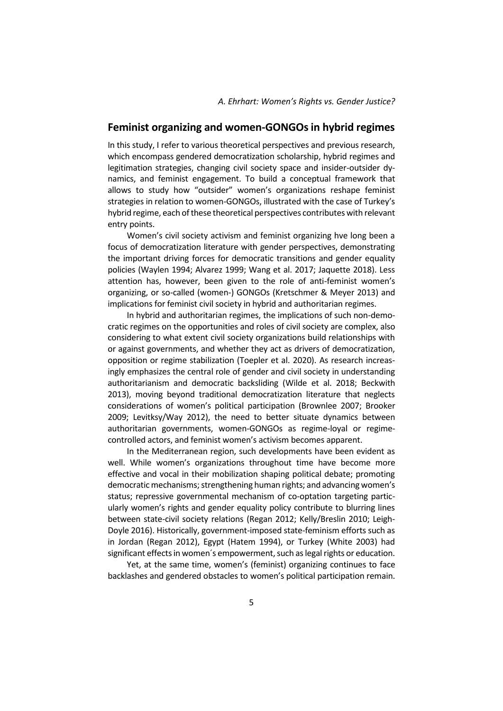# **Feminist organizing and women-GONGOs in hybrid regimes**

In this study, I refer to various theoretical perspectives and previous research, which encompass gendered democratization scholarship, hybrid regimes and legitimation strategies, changing civil society space and insider-outsider dynamics, and feminist engagement. To build a conceptual framework that allows to study how "outsider" women's organizations reshape feminist strategies in relation to women-GONGOs, illustrated with the case of Turkey's hybrid regime, each of these theoretical perspectives contributes with relevant entry points.

Women's civil society activism and feminist organizing hve long been a focus of democratization literature with gender perspectives, demonstrating the important driving forces for democratic transitions and gender equality policies (Waylen 1994; Alvarez 1999; Wang et al. 2017; Jaquette 2018). Less attention has, however, been given to the role of anti-feminist women's organizing, or so-called (women-) GONGOs (Kretschmer & Meyer 2013) and implications for feminist civil society in hybrid and authoritarian regimes.

In hybrid and authoritarian regimes, the implications of such non-democratic regimes on the opportunities and roles of civil society are complex, also considering to what extent civil society organizations build relationships with or against governments, and whether they act as drivers of democratization, opposition or regime stabilization (Toepler et al. 2020). As research increasingly emphasizes the central role of gender and civil society in understanding authoritarianism and democratic backsliding (Wilde et al. 2018; Beckwith 2013), moving beyond traditional democratization literature that neglects considerations of women's political participation (Brownlee 2007; Brooker 2009; Levitksy/Way 2012), the need to better situate dynamics between authoritarian governments, women-GONGOs as regime-loyal or regimecontrolled actors, and feminist women's activism becomes apparent.

In the Mediterranean region, such developments have been evident as well. While women's organizations throughout time have become more effective and vocal in their mobilization shaping political debate; promoting democratic mechanisms; strengthening human rights; and advancing women's status; repressive governmental mechanism of co-optation targeting particularly women's rights and gender equality policy contribute to blurring lines between state-civil society relations (Regan 2012; Kelly/Breslin 2010; Leigh-Doyle 2016). Historically, government-imposed state-feminism efforts such as in Jordan (Regan 2012), Egypt (Hatem 1994), or Turkey (White 2003) had significant effects in women´s empowerment, such as legal rights or education.

Yet, at the same time, women's (feminist) organizing continues to face backlashes and gendered obstacles to women's political participation remain.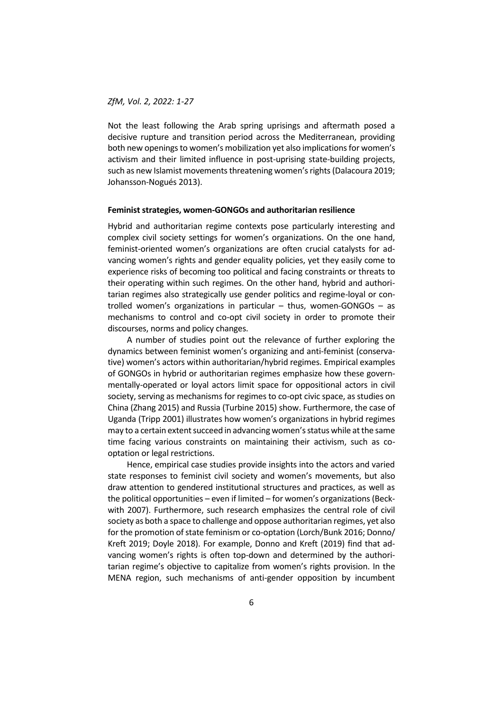Not the least following the Arab spring uprisings and aftermath posed a decisive rupture and transition period across the Mediterranean, providing both new openings to women's mobilization yet also implications for women's activism and their limited influence in post-uprising state-building projects, such as new Islamist movements threatening women's rights (Dalacoura 2019; Johansson-Nogués 2013).

#### **Feminist strategies, women-GONGOs and authoritarian resilience**

Hybrid and authoritarian regime contexts pose particularly interesting and complex civil society settings for women's organizations. On the one hand, feminist-oriented women's organizations are often crucial catalysts for advancing women's rights and gender equality policies, yet they easily come to experience risks of becoming too political and facing constraints or threats to their operating within such regimes. On the other hand, hybrid and authoritarian regimes also strategically use gender politics and regime-loyal or controlled women's organizations in particular – thus, women-GONGOs – as mechanisms to control and co-opt civil society in order to promote their discourses, norms and policy changes.

A number of studies point out the relevance of further exploring the dynamics between feminist women's organizing and anti-feminist (conservative) women's actors within authoritarian/hybrid regimes. Empirical examples of GONGOs in hybrid or authoritarian regimes emphasize how these governmentally-operated or loyal actors limit space for oppositional actors in civil society, serving as mechanisms for regimes to co-opt civic space, as studies on China (Zhang 2015) and Russia (Turbine 2015) show. Furthermore, the case of Uganda (Tripp 2001) illustrates how women's organizations in hybrid regimes may to a certain extent succeed in advancing women's status while at the same time facing various constraints on maintaining their activism, such as cooptation or legal restrictions.

Hence, empirical case studies provide insights into the actors and varied state responses to feminist civil society and women's movements, but also draw attention to gendered institutional structures and practices, as well as the political opportunities – even if limited – for women's organizations (Beckwith 2007). Furthermore, such research emphasizes the central role of civil society as both a space to challenge and oppose authoritarian regimes, yet also for the promotion of state feminism or co-optation (Lorch/Bunk 2016; Donno/ Kreft 2019; Doyle 2018). For example, Donno and Kreft (2019) find that advancing women's rights is often top-down and determined by the authoritarian regime's objective to capitalize from women's rights provision. In the MENA region, such mechanisms of anti-gender opposition by incumbent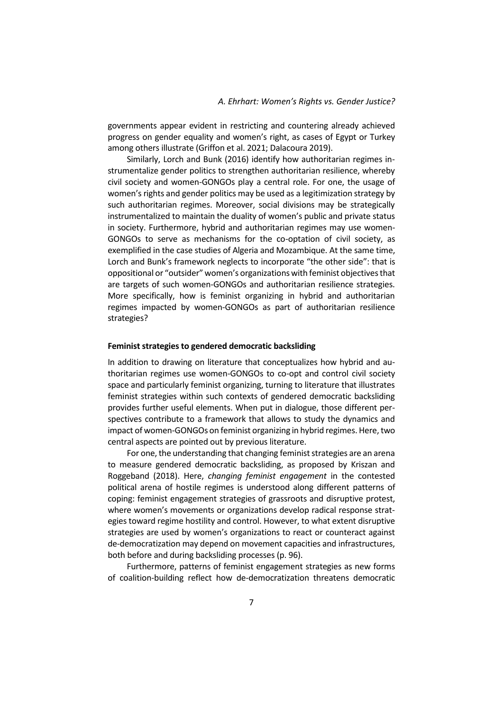governments appear evident in restricting and countering already achieved progress on gender equality and women's right, as cases of Egypt or Turkey among others illustrate (Griffon et al. 2021; Dalacoura 2019).

Similarly, Lorch and Bunk (2016) identify how authoritarian regimes instrumentalize gender politics to strengthen authoritarian resilience, whereby civil society and women-GONGOs play a central role. For one, the usage of women's rights and gender politics may be used as a legitimization strategy by such authoritarian regimes. Moreover, social divisions may be strategically instrumentalized to maintain the duality of women's public and private status in society. Furthermore, hybrid and authoritarian regimes may use women-GONGOs to serve as mechanisms for the co-optation of civil society, as exemplified in the case studies of Algeria and Mozambique. At the same time, Lorch and Bunk's framework neglects to incorporate "the other side": that is oppositional or "outsider" women's organizations with feminist objectives that are targets of such women-GONGOs and authoritarian resilience strategies. More specifically, how is feminist organizing in hybrid and authoritarian regimes impacted by women-GONGOs as part of authoritarian resilience strategies?

#### **Feminist strategies to gendered democratic backsliding**

In addition to drawing on literature that conceptualizes how hybrid and authoritarian regimes use women-GONGOs to co-opt and control civil society space and particularly feminist organizing, turning to literature that illustrates feminist strategies within such contexts of gendered democratic backsliding provides further useful elements. When put in dialogue, those different perspectives contribute to a framework that allows to study the dynamics and impact of women-GONGOs on feminist organizing in hybrid regimes. Here, two central aspects are pointed out by previous literature.

For one, the understanding that changing feminist strategies are an arena to measure gendered democratic backsliding, as proposed by Kriszan and Roggeband (2018). Here, *changing feminist engagement* in the contested political arena of hostile regimes is understood along different patterns of coping: feminist engagement strategies of grassroots and disruptive protest, where women's movements or organizations develop radical response strategies toward regime hostility and control. However, to what extent disruptive strategies are used by women's organizations to react or counteract against de-democratization may depend on movement capacities and infrastructures, both before and during backsliding processes (p. 96).

Furthermore, patterns of feminist engagement strategies as new forms of coalition-building reflect how de-democratization threatens democratic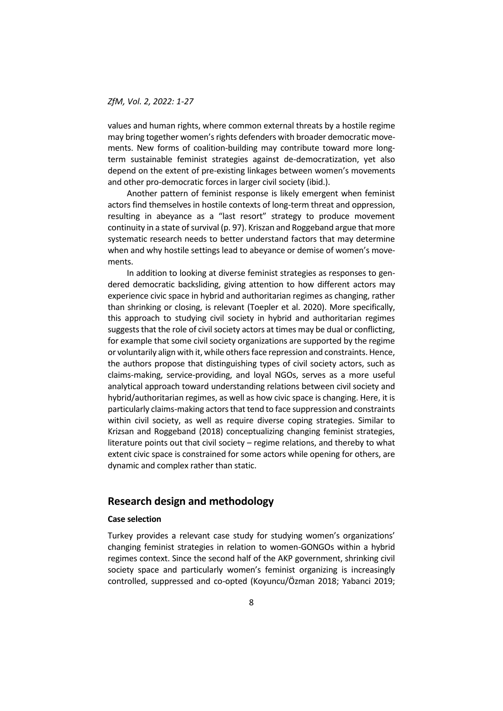values and human rights, where common external threats by a hostile regime may bring together women's rights defenders with broader democratic movements. New forms of coalition-building may contribute toward more longterm sustainable feminist strategies against de-democratization, yet also depend on the extent of pre-existing linkages between women's movements and other pro-democratic forces in larger civil society (ibid.).

Another pattern of feminist response is likely emergent when feminist actors find themselves in hostile contexts of long-term threat and oppression, resulting in abeyance as a "last resort" strategy to produce movement continuity in a state of survival (p. 97). Kriszan and Roggeband argue that more systematic research needs to better understand factors that may determine when and why hostile settings lead to abeyance or demise of women's movements.

In addition to looking at diverse feminist strategies as responses to gendered democratic backsliding, giving attention to how different actors may experience civic space in hybrid and authoritarian regimes as changing, rather than shrinking or closing, is relevant (Toepler et al. 2020). More specifically, this approach to studying civil society in hybrid and authoritarian regimes suggests that the role of civil society actors at times may be dual or conflicting, for example that some civil society organizations are supported by the regime or voluntarily align with it, while others face repression and constraints. Hence, the authors propose that distinguishing types of civil society actors, such as claims-making, service-providing, and loyal NGOs, serves as a more useful analytical approach toward understanding relations between civil society and hybrid/authoritarian regimes, as well as how civic space is changing. Here, it is particularly claims-making actors that tend to face suppression and constraints within civil society, as well as require diverse coping strategies. Similar to Krizsan and Roggeband (2018) conceptualizing changing feminist strategies, literature points out that civil society – regime relations, and thereby to what extent civic space is constrained for some actors while opening for others, are dynamic and complex rather than static.

# **Research design and methodology**

# **Case selection**

Turkey provides a relevant case study for studying women's organizations' changing feminist strategies in relation to women-GONGOs within a hybrid regimes context. Since the second half of the AKP government, shrinking civil society space and particularly women's feminist organizing is increasingly controlled, suppressed and co-opted (Koyuncu/Özman 2018; Yabanci 2019;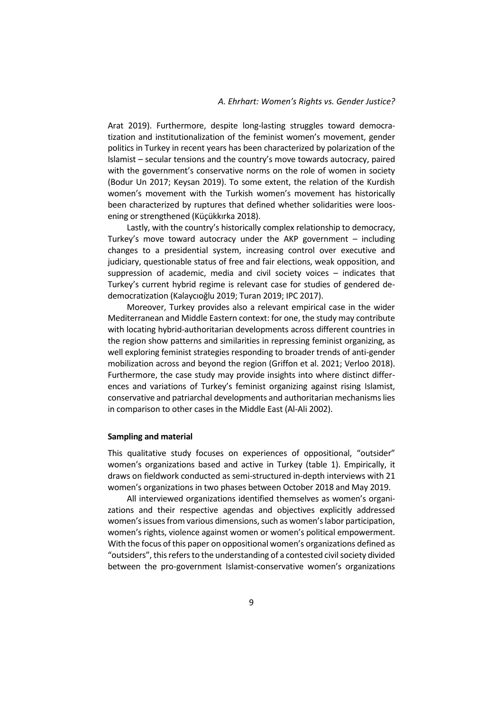Arat 2019). Furthermore, despite long-lasting struggles toward democratization and institutionalization of the feminist women's movement, gender politics in Turkey in recent years has been characterized by polarization of the Islamist – secular tensions and the country's move towards autocracy, paired with the government's conservative norms on the role of women in society (Bodur Un 2017; Keysan 2019). To some extent, the relation of the Kurdish women's movement with the Turkish women's movement has historically been characterized by ruptures that defined whether solidarities were loosening or strengthened (Küçükkırka 2018).

Lastly, with the country's historically complex relationship to democracy, Turkey's move toward autocracy under the AKP government – including changes to a presidential system, increasing control over executive and judiciary, questionable status of free and fair elections, weak opposition, and suppression of academic, media and civil society voices – indicates that Turkey's current hybrid regime is relevant case for studies of gendered dedemocratization (Kalaycıoğlu 2019; Turan 2019; IPC 2017).

Moreover, Turkey provides also a relevant empirical case in the wider Mediterranean and Middle Eastern context: for one, the study may contribute with locating hybrid-authoritarian developments across different countries in the region show patterns and similarities in repressing feminist organizing, as well exploring feminist strategies responding to broader trends of anti-gender mobilization across and beyond the region (Griffon et al. 2021; Verloo 2018). Furthermore, the case study may provide insights into where distinct differences and variations of Turkey's feminist organizing against rising Islamist, conservative and patriarchal developments and authoritarian mechanisms lies in comparison to other cases in the Middle East (Al-Ali 2002).

#### **Sampling and material**

This qualitative study focuses on experiences of oppositional, "outsider" women's organizations based and active in Turkey (table 1). Empirically, it draws on fieldwork conducted as semi-structured in-depth interviews with 21 women's organizations in two phases between October 2018 and May 2019.

All interviewed organizations identified themselves as women's organizations and their respective agendas and objectives explicitly addressed women's issues from various dimensions, such as women's labor participation, women's rights, violence against women or women's political empowerment. With the focus of this paper on oppositional women's organizations defined as "outsiders", this refers to the understanding of a contested civil society divided between the pro-government Islamist-conservative women's organizations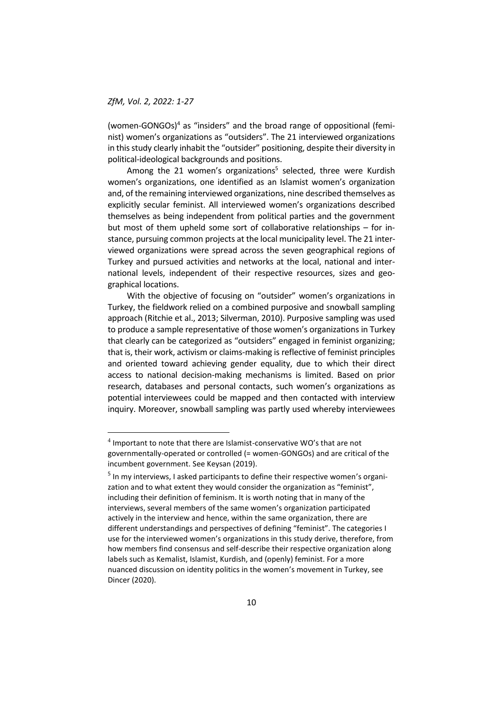-

(women-GONGOs)<sup>4</sup> as "insiders" and the broad range of oppositional (feminist) women's organizations as "outsiders". The 21 interviewed organizations in this study clearly inhabit the "outsider" positioning, despite their diversity in political-ideological backgrounds and positions.

Among the 21 women's organizations<sup>5</sup> selected, three were Kurdish women's organizations, one identified as an Islamist women's organization and, of the remaining interviewed organizations, nine described themselves as explicitly secular feminist. All interviewed women's organizations described themselves as being independent from political parties and the government but most of them upheld some sort of collaborative relationships – for instance, pursuing common projects at the local municipality level. The 21 interviewed organizations were spread across the seven geographical regions of Turkey and pursued activities and networks at the local, national and international levels, independent of their respective resources, sizes and geographical locations.

With the objective of focusing on "outsider" women's organizations in Turkey, the fieldwork relied on a combined purposive and snowball sampling approach (Ritchie et al., 2013; Silverman, 2010). Purposive sampling was used to produce a sample representative of those women's organizations in Turkey that clearly can be categorized as "outsiders" engaged in feminist organizing; that is, their work, activism or claims-making is reflective of feminist principles and oriented toward achieving gender equality, due to which their direct access to national decision-making mechanisms is limited. Based on prior research, databases and personal contacts, such women's organizations as potential interviewees could be mapped and then contacted with interview inquiry. Moreover, snowball sampling was partly used whereby interviewees

 $<sup>4</sup>$  Important to note that there are Islamist-conservative WO's that are not</sup> governmentally-operated or controlled (= women-GONGOs) and are critical of the incumbent government. See Keysan (2019).

<sup>&</sup>lt;sup>5</sup> In my interviews, I asked participants to define their respective women's organization and to what extent they would consider the organization as "feminist", including their definition of feminism. It is worth noting that in many of the interviews, several members of the same women's organization participated actively in the interview and hence, within the same organization, there are different understandings and perspectives of defining "feminist". The categories I use for the interviewed women's organizations in this study derive, therefore, from how members find consensus and self-describe their respective organization along labels such as Kemalist, Islamist, Kurdish, and (openly) feminist. For a more nuanced discussion on identity politics in the women's movement in Turkey, see Dincer (2020).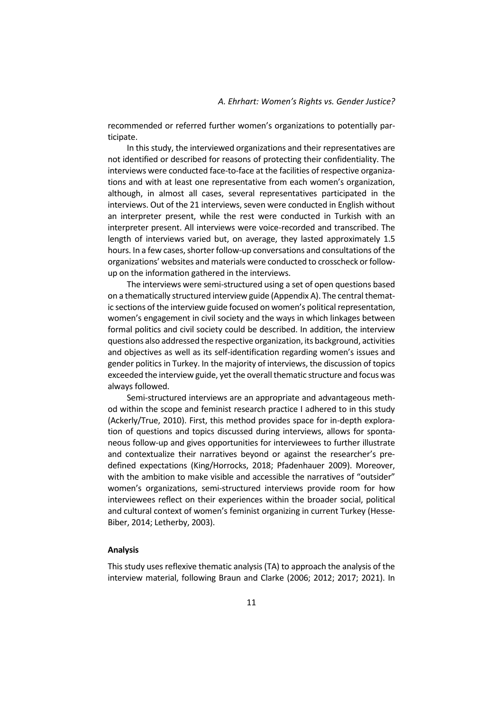recommended or referred further women's organizations to potentially participate.

In this study, the interviewed organizations and their representatives are not identified or described for reasons of protecting their confidentiality. The interviews were conducted face-to-face at the facilities of respective organizations and with at least one representative from each women's organization, although, in almost all cases, several representatives participated in the interviews. Out of the 21 interviews, seven were conducted in English without an interpreter present, while the rest were conducted in Turkish with an interpreter present. All interviews were voice-recorded and transcribed. The length of interviews varied but, on average, they lasted approximately 1.5 hours. In a few cases, shorter follow-up conversations and consultations of the organizations' websites and materials were conducted to crosscheck or followup on the information gathered in the interviews.

The interviews were semi-structured using a set of open questions based on a thematically structured interview guide (Appendix A). The central thematic sections of the interview guide focused on women's political representation, women's engagement in civil society and the ways in which linkages between formal politics and civil society could be described. In addition, the interview questions also addressed the respective organization, its background, activities and objectives as well as its self-identification regarding women's issues and gender politics in Turkey. In the majority of interviews, the discussion of topics exceeded the interview guide, yet the overall thematic structure and focus was always followed.

Semi-structured interviews are an appropriate and advantageous method within the scope and feminist research practice I adhered to in this study (Ackerly/True, 2010). First, this method provides space for in-depth exploration of questions and topics discussed during interviews, allows for spontaneous follow-up and gives opportunities for interviewees to further illustrate and contextualize their narratives beyond or against the researcher's predefined expectations (King/Horrocks, 2018; Pfadenhauer 2009). Moreover, with the ambition to make visible and accessible the narratives of "outsider" women's organizations, semi-structured interviews provide room for how interviewees reflect on their experiences within the broader social, political and cultural context of women's feminist organizing in current Turkey (Hesse-Biber, 2014; Letherby, 2003).

# **Analysis**

This study uses reflexive thematic analysis (TA) to approach the analysis of the interview material, following Braun and Clarke (2006; 2012; 2017; 2021). In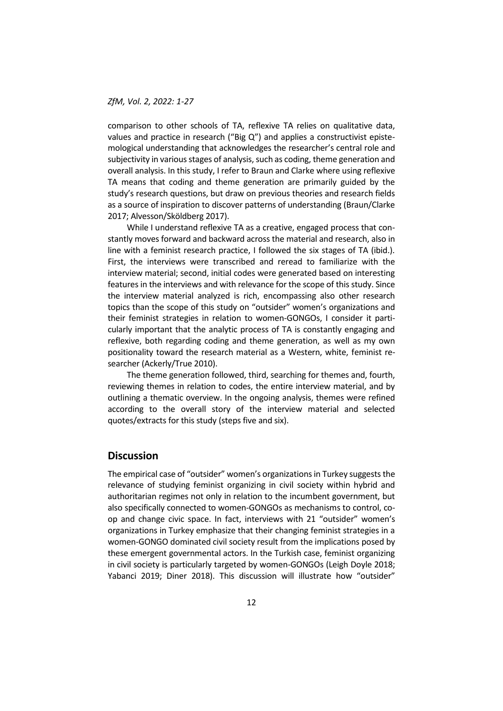comparison to other schools of TA, reflexive TA relies on qualitative data, values and practice in research ("Big Q") and applies a constructivist epistemological understanding that acknowledges the researcher's central role and subjectivity in various stages of analysis, such as coding, theme generation and overall analysis. In this study, I refer to Braun and Clarke where using reflexive TA means that coding and theme generation are primarily guided by the study's research questions, but draw on previous theories and research fields as a source of inspiration to discover patterns of understanding (Braun/Clarke 2017; Alvesson/Sköldberg 2017).

While I understand reflexive TA as a creative, engaged process that constantly moves forward and backward across the material and research, also in line with a feminist research practice, I followed the six stages of TA (ibid.). First, the interviews were transcribed and reread to familiarize with the interview material; second, initial codes were generated based on interesting features in the interviews and with relevance for the scope of this study. Since the interview material analyzed is rich, encompassing also other research topics than the scope of this study on "outsider" women's organizations and their feminist strategies in relation to women-GONGOs, I consider it particularly important that the analytic process of TA is constantly engaging and reflexive, both regarding coding and theme generation, as well as my own positionality toward the research material as a Western, white, feminist researcher (Ackerly/True 2010).

The theme generation followed, third, searching for themes and, fourth, reviewing themes in relation to codes, the entire interview material, and by outlining a thematic overview. In the ongoing analysis, themes were refined according to the overall story of the interview material and selected quotes/extracts for this study (steps five and six).

# **Discussion**

The empirical case of "outsider" women's organizations in Turkey suggests the relevance of studying feminist organizing in civil society within hybrid and authoritarian regimes not only in relation to the incumbent government, but also specifically connected to women-GONGOs as mechanisms to control, coop and change civic space. In fact, interviews with 21 "outsider" women's organizations in Turkey emphasize that their changing feminist strategies in a women-GONGO dominated civil society result from the implications posed by these emergent governmental actors. In the Turkish case, feminist organizing in civil society is particularly targeted by women-GONGOs (Leigh Doyle 2018; Yabanci 2019; Diner 2018). This discussion will illustrate how "outsider"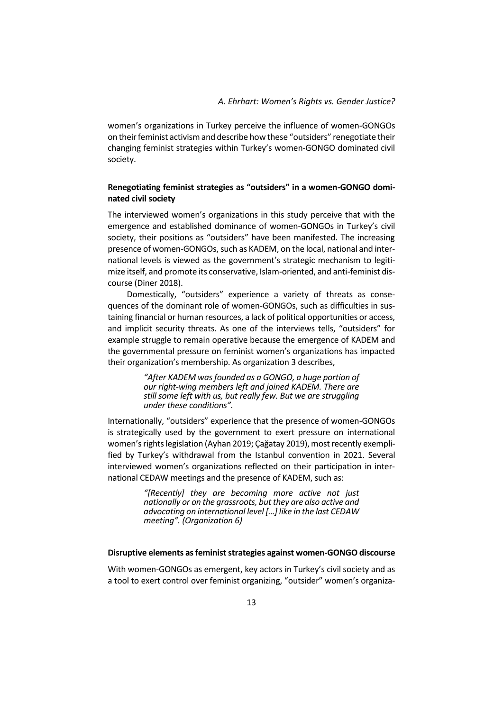women's organizations in Turkey perceive the influence of women-GONGOs on their feminist activism and describe how these "outsiders" renegotiate their changing feminist strategies within Turkey's women-GONGO dominated civil society.

# **Renegotiating feminist strategies as "outsiders" in a women-GONGO dominated civil society**

The interviewed women's organizations in this study perceive that with the emergence and established dominance of women-GONGOs in Turkey's civil society, their positions as "outsiders" have been manifested. The increasing presence of women-GONGOs, such as KADEM, on the local, national and international levels is viewed as the government's strategic mechanism to legitimize itself, and promote its conservative, Islam-oriented, and anti-feminist discourse (Diner 2018).

Domestically, "outsiders" experience a variety of threats as consequences of the dominant role of women-GONGOs, such as difficulties in sustaining financial or human resources, a lack of political opportunities or access, and implicit security threats. As one of the interviews tells, "outsiders" for example struggle to remain operative because the emergence of KADEM and the governmental pressure on feminist women's organizations has impacted their organization's membership. As organization 3 describes,

> *"After KADEM was founded as a GONGO, a huge portion of our right-wing members left and joined KADEM. There are still some left with us, but really few. But we are struggling under these conditions".*

Internationally, "outsiders" experience that the presence of women-GONGOs is strategically used by the government to exert pressure on international women's rights legislation (Ayhan 2019; Çağatay 2019), most recently exemplified by Turkey's withdrawal from the Istanbul convention in 2021. Several interviewed women's organizations reflected on their participation in international CEDAW meetings and the presence of KADEM, such as:

> *"[Recently] they are becoming more active not just nationally or on the grassroots, but they are also active and advocating on international level […] like in the last CEDAW meeting". (Organization 6)*

### **Disruptive elements as feminist strategies against women-GONGO discourse**

With women-GONGOs as emergent, key actors in Turkey's civil society and as a tool to exert control over feminist organizing, "outsider" women's organiza-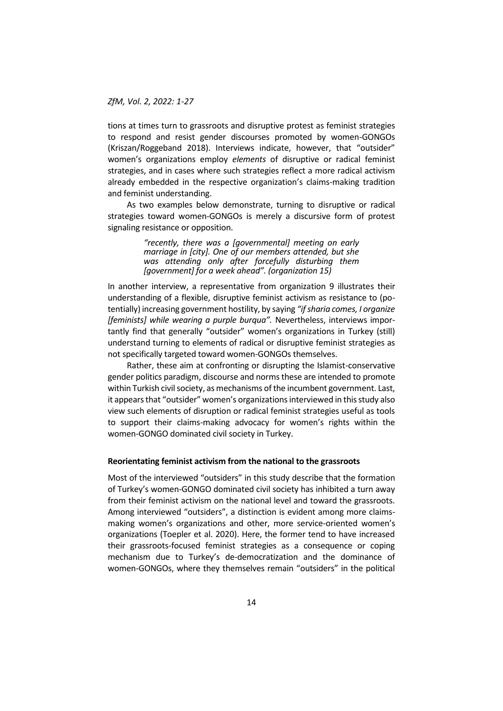tions at times turn to grassroots and disruptive protest as feminist strategies to respond and resist gender discourses promoted by women-GONGOs (Kriszan/Roggeband 2018). Interviews indicate, however, that "outsider" women's organizations employ *elements* of disruptive or radical feminist strategies, and in cases where such strategies reflect a more radical activism already embedded in the respective organization's claims-making tradition and feminist understanding.

As two examples below demonstrate, turning to disruptive or radical strategies toward women-GONGOs is merely a discursive form of protest signaling resistance or opposition.

> *"recently, there was a [governmental] meeting on early marriage in [city]. One of our members attended, but she was attending only after forcefully disturbing them [government] for a week ahead". (organization 15)*

In another interview, a representative from organization 9 illustrates their understanding of a flexible, disruptive feminist activism as resistance to (potentially) increasing government hostility, by saying *"if sharia comes, I organize [feminists] while wearing a purple burqua".* Nevertheless, interviews importantly find that generally "outsider" women's organizations in Turkey (still) understand turning to elements of radical or disruptive feminist strategies as not specifically targeted toward women-GONGOs themselves.

Rather, these aim at confronting or disrupting the Islamist-conservative gender politics paradigm, discourse and norms these are intended to promote within Turkish civil society, as mechanisms of the incumbent government. Last, it appears that "outsider" women's organizationsinterviewed in this study also view such elements of disruption or radical feminist strategies useful as tools to support their claims-making advocacy for women's rights within the women-GONGO dominated civil society in Turkey.

#### **Reorientating feminist activism from the national to the grassroots**

Most of the interviewed "outsiders" in this study describe that the formation of Turkey's women-GONGO dominated civil society has inhibited a turn away from their feminist activism on the national level and toward the grassroots. Among interviewed "outsiders", a distinction is evident among more claimsmaking women's organizations and other, more service-oriented women's organizations (Toepler et al. 2020). Here, the former tend to have increased their grassroots-focused feminist strategies as a consequence or coping mechanism due to Turkey's de-democratization and the dominance of women-GONGOs, where they themselves remain "outsiders" in the political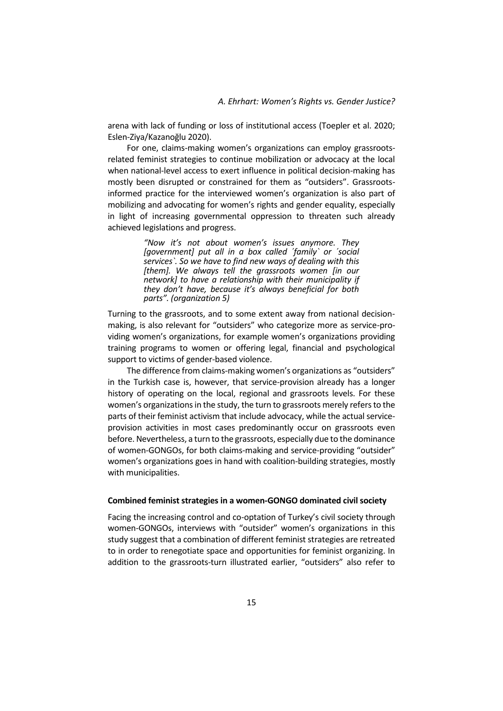arena with lack of funding or loss of institutional access (Toepler et al. 2020; Eslen-Ziya/Kazanoğlu 2020).

For one, claims-making women's organizations can employ grassrootsrelated feminist strategies to continue mobilization or advocacy at the local when national-level access to exert influence in political decision-making has mostly been disrupted or constrained for them as "outsiders". Grassrootsinformed practice for the interviewed women's organization is also part of mobilizing and advocating for women's rights and gender equality, especially in light of increasing governmental oppression to threaten such already achieved legislations and progress.

> *"Now it's not about women's issues anymore. They [government] put all in a box called ´family` or ´social services`. So we have to find new ways of dealing with this [them]. We always tell the grassroots women [in our network] to have a relationship with their municipality if they don't have, because it's always beneficial for both parts". (organization 5)*

Turning to the grassroots, and to some extent away from national decisionmaking, is also relevant for "outsiders" who categorize more as service-providing women's organizations, for example women's organizations providing training programs to women or offering legal, financial and psychological support to victims of gender-based violence.

The difference from claims-making women's organizations as "outsiders" in the Turkish case is, however, that service-provision already has a longer history of operating on the local, regional and grassroots levels. For these women's organizations in the study, the turn to grassroots merely refers to the parts of their feminist activism that include advocacy, while the actual serviceprovision activities in most cases predominantly occur on grassroots even before. Nevertheless, a turn to the grassroots, especially due to the dominance of women-GONGOs, for both claims-making and service-providing "outsider" women's organizations goes in hand with coalition-building strategies, mostly with municipalities.

#### **Combined feminist strategies in a women-GONGO dominated civil society**

Facing the increasing control and co-optation of Turkey's civil society through women-GONGOs, interviews with "outsider" women's organizations in this study suggest that a combination of different feminist strategies are retreated to in order to renegotiate space and opportunities for feminist organizing. In addition to the grassroots-turn illustrated earlier, "outsiders" also refer to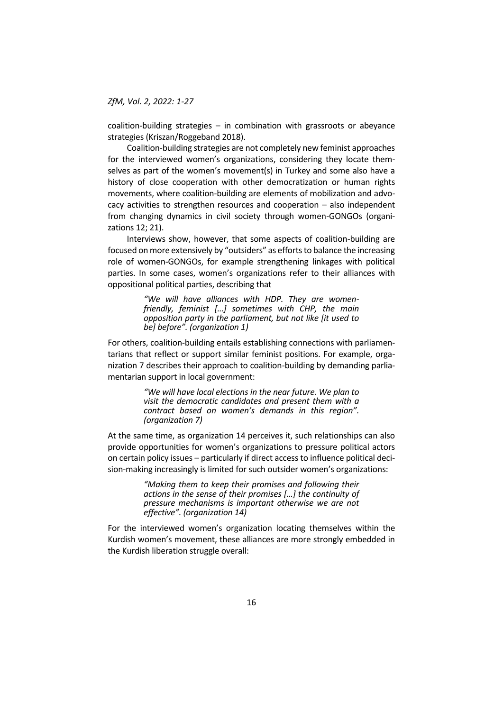coalition-building strategies – in combination with grassroots or abeyance strategies (Kriszan/Roggeband 2018).

Coalition-building strategies are not completely new feminist approaches for the interviewed women's organizations, considering they locate themselves as part of the women's movement(s) in Turkey and some also have a history of close cooperation with other democratization or human rights movements, where coalition-building are elements of mobilization and advocacy activities to strengthen resources and cooperation – also independent from changing dynamics in civil society through women-GONGOs (organizations 12; 21).

Interviews show, however, that some aspects of coalition-building are focused on more extensively by "outsiders" as efforts to balance the increasing role of women-GONGOs, for example strengthening linkages with political parties. In some cases, women's organizations refer to their alliances with oppositional political parties, describing that

> *"We will have alliances with HDP. They are womenfriendly, feminist […] sometimes with CHP, the main opposition party in the parliament, but not like [it used to be] before". (organization 1)*

For others, coalition-building entails establishing connections with parliamentarians that reflect or support similar feminist positions. For example, organization 7 describes their approach to coalition-building by demanding parliamentarian support in local government:

> *"We will have local elections in the near future. We plan to visit the democratic candidates and present them with a contract based on women's demands in this region". (organization 7)*

At the same time, as organization 14 perceives it, such relationships can also provide opportunities for women's organizations to pressure political actors on certain policy issues – particularly if direct access to influence political decision-making increasingly is limited for such outsider women's organizations:

> *"Making them to keep their promises and following their actions in the sense of their promises […] the continuity of pressure mechanisms is important otherwise we are not effective". (organization 14)*

For the interviewed women's organization locating themselves within the Kurdish women's movement, these alliances are more strongly embedded in the Kurdish liberation struggle overall: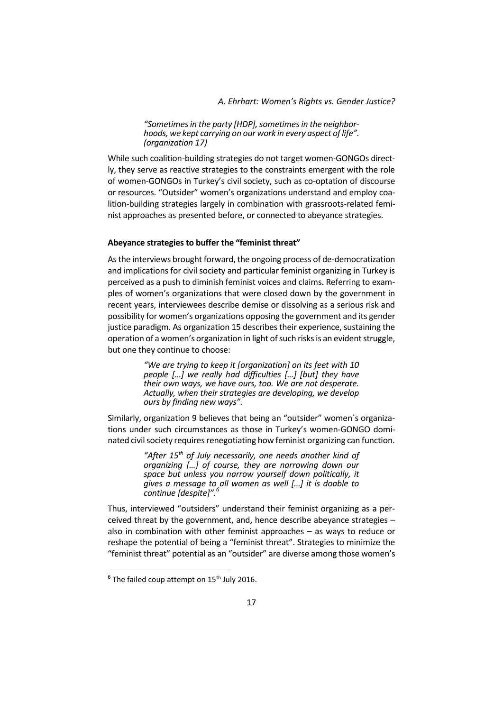*A. Ehrhart: Women's Rights vs. Gender Justice?*

*"Sometimes in the party [HDP], sometimes in the neighborhoods, we kept carrying on our work in every aspect of life". (organization 17)*

While such coalition-building strategies do not target women-GONGOs directly, they serve as reactive strategies to the constraints emergent with the role of women-GONGOs in Turkey's civil society, such as co-optation of discourse or resources. "Outsider" women's organizations understand and employ coalition-building strategies largely in combination with grassroots-related feminist approaches as presented before, or connected to abeyance strategies.

#### **Abeyance strategies to buffer the "feminist threat"**

Asthe interviews brought forward, the ongoing process of de-democratization and implications for civil society and particular feminist organizing in Turkey is perceived as a push to diminish feminist voices and claims. Referring to examples of women's organizations that were closed down by the government in recent years, interviewees describe demise or dissolving as a serious risk and possibility for women's organizations opposing the government and its gender justice paradigm. As organization 15 describes their experience, sustaining the operation of a women's organization in light of such risks is an evident struggle, but one they continue to choose:

> *"We are trying to keep it [organization] on its feet with 10 people […] we really had difficulties […] [but] they have their own ways, we have ours, too. We are not desperate. Actually, when their strategies are developing, we develop ours by finding new ways".*

Similarly, organization 9 believes that being an "outsider" women`s organizations under such circumstances as those in Turkey's women-GONGO dominated civil society requires renegotiating how feminist organizing can function.

> *"After 15th of July necessarily, one needs another kind of organizing […] of course, they are narrowing down our space but unless you narrow yourself down politically, it gives a message to all women as well […] it is doable to continue [despite]".<sup>6</sup>*

Thus, interviewed "outsiders" understand their feminist organizing as a perceived threat by the government, and, hence describe abeyance strategies – also in combination with other feminist approaches – as ways to reduce or reshape the potential of being a "feminist threat". Strategies to minimize the "feminist threat" potential as an "outsider" are diverse among those women's

<u>.</u>

 $6$  The failed coup attempt on 15<sup>th</sup> July 2016.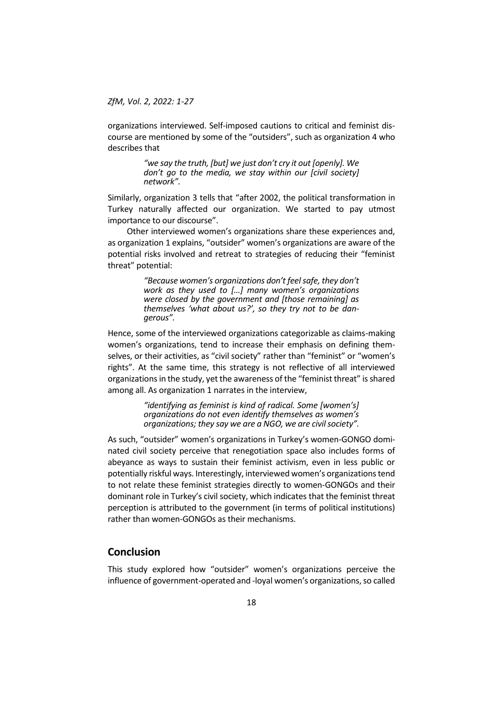organizations interviewed. Self-imposed cautions to critical and feminist discourse are mentioned by some of the "outsiders", such as organization 4 who describes that

> *"we say the truth, [but] we just don't cry it out [openly]. We don't go to the media, we stay within our [civil society] network".*

Similarly, organization 3 tells that "after 2002, the political transformation in Turkey naturally affected our organization. We started to pay utmost importance to our discourse".

Other interviewed women's organizations share these experiences and, as organization 1 explains, "outsider" women's organizations are aware of the potential risks involved and retreat to strategies of reducing their "feminist threat" potential:

> *"Because women's organizations don't feel safe, they don't work as they used to […] many women's organizations were closed by the government and [those remaining] as themselves 'what about us?', so they try not to be dangerous".*

Hence, some of the interviewed organizations categorizable as claims-making women's organizations, tend to increase their emphasis on defining themselves, or their activities, as "civil society" rather than "feminist" or "women's rights". At the same time, this strategy is not reflective of all interviewed organizations in the study, yet the awareness of the "feminist threat" is shared among all. As organization 1 narrates in the interview,

> *"identifying as feminist is kind of radical. Some [women's] organizations do not even identify themselves as women's organizations; they say we are a NGO, we are civil society".*

As such, "outsider" women's organizations in Turkey's women-GONGO dominated civil society perceive that renegotiation space also includes forms of abeyance as ways to sustain their feminist activism, even in less public or potentially riskful ways. Interestingly, interviewed women's organizations tend to not relate these feminist strategies directly to women-GONGOs and their dominant role in Turkey's civil society, which indicates that the feminist threat perception is attributed to the government (in terms of political institutions) rather than women-GONGOs as their mechanisms.

# **Conclusion**

This study explored how "outsider" women's organizations perceive the influence of government-operated and -loyal women's organizations, so called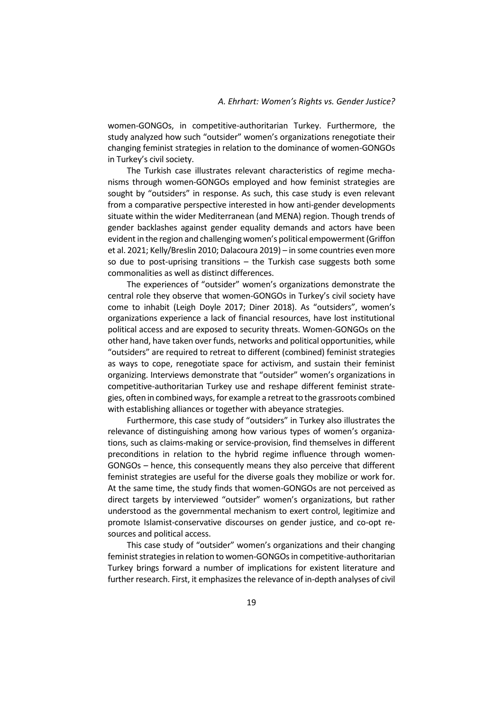women-GONGOs, in competitive-authoritarian Turkey. Furthermore, the study analyzed how such "outsider" women's organizations renegotiate their changing feminist strategies in relation to the dominance of women-GONGOs in Turkey's civil society.

The Turkish case illustrates relevant characteristics of regime mechanisms through women-GONGOs employed and how feminist strategies are sought by "outsiders" in response. As such, this case study is even relevant from a comparative perspective interested in how anti-gender developments situate within the wider Mediterranean (and MENA) region. Though trends of gender backlashes against gender equality demands and actors have been evident in the region and challenging women's political empowerment (Griffon et al. 2021; Kelly/Breslin 2010; Dalacoura 2019) – in some countries even more so due to post-uprising transitions – the Turkish case suggests both some commonalities as well as distinct differences.

The experiences of "outsider" women's organizations demonstrate the central role they observe that women-GONGOs in Turkey's civil society have come to inhabit (Leigh Doyle 2017; Diner 2018). As "outsiders", women's organizations experience a lack of financial resources, have lost institutional political access and are exposed to security threats. Women-GONGOs on the other hand, have taken over funds, networks and political opportunities, while "outsiders" are required to retreat to different (combined) feminist strategies as ways to cope, renegotiate space for activism, and sustain their feminist organizing. Interviews demonstrate that "outsider" women's organizations in competitive-authoritarian Turkey use and reshape different feminist strategies, often in combined ways, for example a retreatto the grassroots combined with establishing alliances or together with abeyance strategies.

Furthermore, this case study of "outsiders" in Turkey also illustrates the relevance of distinguishing among how various types of women's organizations, such as claims-making or service-provision, find themselves in different preconditions in relation to the hybrid regime influence through women-GONGOs – hence, this consequently means they also perceive that different feminist strategies are useful for the diverse goals they mobilize or work for. At the same time, the study finds that women-GONGOs are not perceived as direct targets by interviewed "outsider" women's organizations, but rather understood as the governmental mechanism to exert control, legitimize and promote Islamist-conservative discourses on gender justice, and co-opt resources and political access.

This case study of "outsider" women's organizations and their changing feminist strategies in relation to women-GONGOs in competitive-authoritarian Turkey brings forward a number of implications for existent literature and further research. First, it emphasizes the relevance of in-depth analyses of civil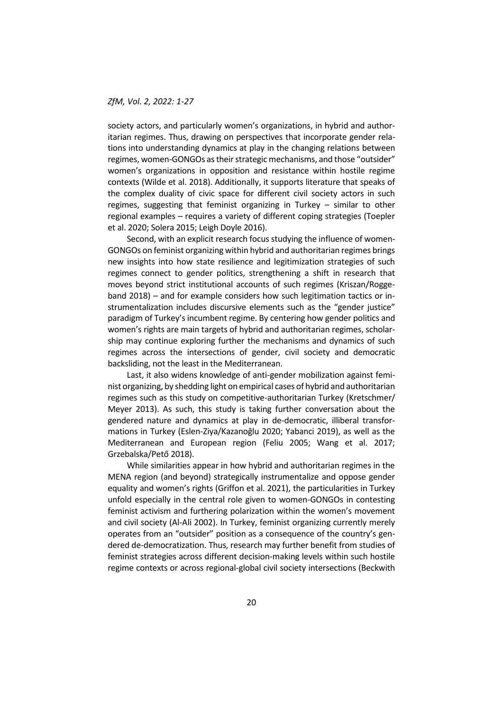society actors, and particularly women's organizations, in hybrid and authoritarian regimes. Thus, drawing on perspectives that incorporate gender relations into understanding dynamics at play in the changing relations between regimes, women-GONGOs as their strategic mechanisms, and those "outsider" women's organizations in opposition and resistance within hostile regime contexts (Wilde et al. 2018). Additionally, it supports literature that speaks of the complex duality of civic space for different civil society actors in such regimes, suggesting that feminist organizing in Turkey – similar to other regional examples – requires a variety of different coping strategies (Toepler et al. 2020; Solera 2015; Leigh Doyle 2016).

Second, with an explicit research focus studying the influence of women-GONGOs on feminist organizing within hybrid and authoritarian regimes brings new insights into how state resilience and legitimization strategies of such regimes connect to gender politics, strengthening a shift in research that moves beyond strict institutional accounts of such regimes (Kriszan/Roggeband 2018) – and for example considers how such legitimation tactics or instrumentalization includes discursive elements such as the "gender justice" paradigm of Turkey's incumbent regime. By centering how gender politics and women's rights are main targets of hybrid and authoritarian regimes, scholarship may continue exploring further the mechanisms and dynamics of such regimes across the intersections of gender, civil society and democratic backsliding, not the least in the Mediterranean.

Last, it also widens knowledge of anti-gender mobilization against feminist organizing, by shedding light on empirical cases of hybrid and authoritarian regimes such as this study on competitive-authoritarian Turkey (Kretschmer/ Meyer 2013). As such, this study is taking further conversation about the gendered nature and dynamics at play in de-democratic, illiberal transformations in Turkey (Eslen-Ziya/Kazanoğlu 2020; Yabanci 2019), as well as the Mediterranean and European region (Feliu 2005; Wang et al. 2017; Grzebalska/Pető 2018).

While similarities appear in how hybrid and authoritarian regimes in the MENA region (and beyond) strategically instrumentalize and oppose gender equality and women's rights (Griffon et al. 2021), the particularities in Turkey unfold especially in the central role given to women-GONGOs in contesting feminist activism and furthering polarization within the women's movement and civil society (Al-Ali 2002). In Turkey, feminist organizing currently merely operates from an "outsider" position as a consequence of the country's gendered de-democratization. Thus, research may further benefit from studies of feminist strategies across different decision-making levels within such hostile regime contexts or across regional-global civil society intersections (Beckwith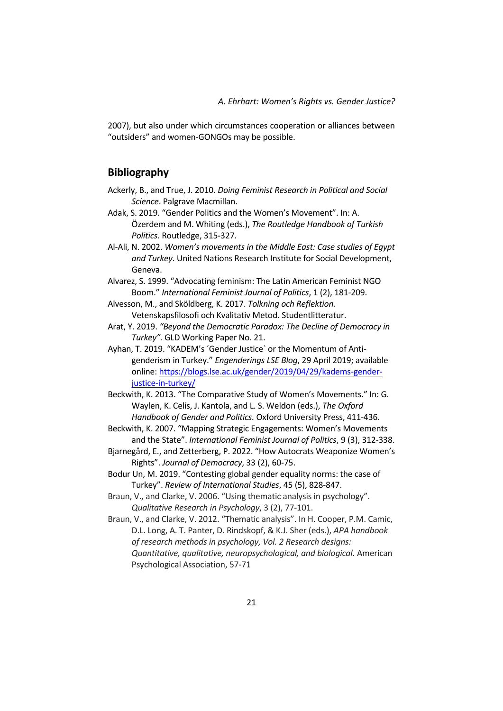2007), but also under which circumstances cooperation or alliances between "outsiders" and women-GONGOs may be possible.

# **Bibliography**

- Ackerly, B., and True, J. 2010. *Doing Feminist Research in Political and Social Science*. Palgrave Macmillan.
- Adak, S. 2019. "Gender Politics and the Women's Movement". In: A. Özerdem and M. Whiting (eds.), *The Routledge Handbook of Turkish Politics*. Routledge, 315-327.
- Al-Ali, N. 2002. *Women's movements in the Middle East: Case studies of Egypt and Turkey*. United Nations Research Institute for Social Development, Geneva.
- Alvarez, S. 1999. "Advocating feminism: The Latin American Feminist NGO Boom." *International Feminist Journal of Politics*, 1 (2), 181-209.
- Alvesson, M., and Sköldberg, K. 2017. *Tolkning och Reflektion.* Vetenskapsfilosofi och Kvalitativ Metod. Studentlitteratur.
- Arat, Y. 2019. *"Beyond the Democratic Paradox: The Decline of Democracy in Turkey".* GLD Working Paper No. 21.
- Ayhan, T. 2019. "KADEM's ´Gender Justice` or the Momentum of Antigenderism in Turkey." *Engenderings LSE Blog*, 29 April 2019; available online: [https://blogs.lse.ac.uk/gender/2019/04/29/kadems-gender](https://blogs.lse.ac.uk/gender/2019/04/29/kadems-gender-justice-in-turkey/)[justice-in-turkey/](https://blogs.lse.ac.uk/gender/2019/04/29/kadems-gender-justice-in-turkey/)
- Beckwith, K. 2013. "The Comparative Study of Women's Movements." In: G. Waylen, K. Celis, J. Kantola, and L. S. Weldon (eds.), *The Oxford Handbook of Gender and Politics.* Oxford University Press, 411-436.
- Beckwith, K. 2007. "Mapping Strategic Engagements: Women's Movements and the State". *International Feminist Journal of Politics*, 9 (3), 312-338.
- Bjarnegård, E., and Zetterberg, P. 2022. "How Autocrats Weaponize Women's Rights". *Journal of Democracy*, 33 (2), 60-75.
- Bodur Un, M. 2019. "Contesting global gender equality norms: the case of Turkey". *Review of International Studies*, 45 (5), 828-847.
- Braun, V., and Clarke, V. 2006. "Using thematic analysis in psychology". *Qualitative Research in Psychology*, 3 (2), 77-101.
- Braun, V., and Clarke, V. 2012. "Thematic analysis". In H. Cooper, P.M. Camic, D.L. Long, A. T. Panter, D. Rindskopf, & K.J. Sher (eds.), *APA handbook of research methods in psychology, Vol. 2 Research designs: Quantitative, qualitative, neuropsychological, and biological.* American Psychological Association, 57-71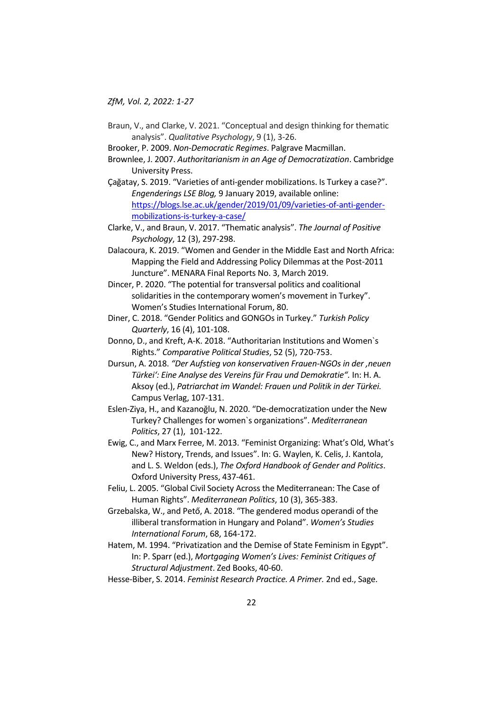- Braun, V., and Clarke, V. 2021. "Conceptual and design thinking for thematic analysis". *Qualitative Psychology*, 9 (1), 3-26.
- Brooker, P. 2009. *Non-Democratic Regimes*. Palgrave Macmillan.
- Brownlee, J. 2007. *Authoritarianism in an Age of Democratization*. Cambridge University Press.
- Çağatay, S. 2019. "Varieties of anti-gender mobilizations. Is Turkey a case?". *Engenderings LSE Blog,* 9 January 2019, available online: [https://blogs.lse.ac.uk/gender/2019/01/09/varieties-of-anti-gender](https://blogs.lse.ac.uk/gender/2019/01/09/varieties-of-anti-gender-mobilizations-is-turkey-a-case/)[mobilizations-is-turkey-a-case/](https://blogs.lse.ac.uk/gender/2019/01/09/varieties-of-anti-gender-mobilizations-is-turkey-a-case/)
- Clarke, V., and Braun, V. 2017. "Thematic analysis". *The Journal of Positive Psychology*, 12 (3), 297-298.
- Dalacoura, K. 2019. "Women and Gender in the Middle East and North Africa: Mapping the Field and Addressing Policy Dilemmas at the Post-2011 Juncture". MENARA Final Reports No. 3, March 2019.
- Dincer, P. 2020. "The potential for transversal politics and coalitional solidarities in the contemporary women's movement in Turkey". Women's Studies International Forum, 80.
- Diner, C. 2018. "Gender Politics and GONGOs in Turkey." *Turkish Policy Quarterly*, 16 (4), 101-108.
- Donno, D., and Kreft, A-K. 2018. "Authoritarian Institutions and Women`s Rights." *Comparative Political Studies*, 52 (5), 720-753.
- Dursun, A. 2018. *"Der Aufstieg von konservativen Frauen-NGOs in der 'neuen Türkei': Eine Analyse des Vereins für Frau und Demokratie".* In: H. A. Aksoy (ed.), *Patriarchat im Wandel: Frauen und Politik in der Türkei.* Campus Verlag, 107-131.
- Eslen-Ziya, H., and Kazanoğlu, N. 2020. "De-democratization under the New Turkey? Challenges for women`s organizations". *Mediterranean Politics*, 27 (1), 101-122.
- Ewig, C., and Marx Ferree, M. 2013. "Feminist Organizing: What's Old, What's New? History, Trends, and Issues". In: G. Waylen, K. Celis, J. Kantola, and L. S. Weldon (eds.), *The Oxford Handbook of Gender and Politics*. Oxford University Press, 437-461.
- Feliu, L. 2005. "Global Civil Society Across the Mediterranean: The Case of Human Rights". *Mediterranean Politics*, 10 (3), 365-383.
- Grzebalska, W., and Pető, A. 2018. "The gendered modus operandi of the illiberal transformation in Hungary and Poland". *Women's Studies International Forum*, 68, 164-172.
- Hatem, M. 1994. "Privatization and the Demise of State Feminism in Egypt". In: P. Sparr (ed.), *Mortgaging Women's Lives: Feminist Critiques of Structural Adjustment*. Zed Books, 40-60.
- Hesse-Biber, S. 2014. *Feminist Research Practice. A Primer.* 2nd ed., Sage.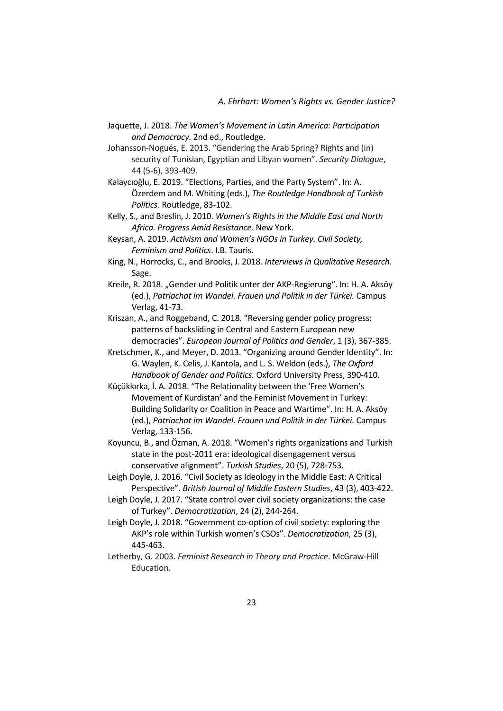- Jaquette, J. 2018. *The Women's Movement in Latin America: Participation and Democracy.* 2nd ed., Routledge.
- Johansson-Nogués, E. 2013. "Gendering the Arab Spring? Rights and (in) security of Tunisian, Egyptian and Libyan women". *Security Dialogue*, 44 (5-6), 393-409.
- Kalaycıoğlu, E. 2019. "Elections, Parties, and the Party System". In: A. Özerdem and M. Whiting (eds.), *The Routledge Handbook of Turkish Politics.* Routledge, 83-102.
- Kelly, S., and Breslin, J. 2010. *Women's Rights in the Middle East and North Africa. Progress Amid Resistance.* New York.
- Keysan, A. 2019. *Activism and Women's NGOs in Turkey. Civil Society, Feminism and Politics*. I.B. Tauris.
- King, N., Horrocks, C., and Brooks, J. 2018. *Interviews in Qualitative Research.* Sage.
- Kreile, R. 2018. "Gender und Politik unter der AKP-Regierung". In: H. A. Aksöy (ed.), *Patriachat im Wandel. Frauen und Politik in der Türkei.* Campus Verlag, 41-73.
- Kriszan, A., and Roggeband, C. 2018. "Reversing gender policy progress: patterns of backsliding in Central and Eastern European new democracies". *European Journal of Politics and Gender*, 1 (3), 367-385.
- Kretschmer, K., and Meyer, D. 2013. "Organizing around Gender Identity". In: G. Waylen, K. Celis, J. Kantola, and L. S. Weldon (eds.), *The Oxford Handbook of Gender and Politics.* Oxford University Press, 390-410.
- Küçükkırka, İ. A. 2018. "The Relationality between the 'Free Women's Movement of Kurdistan' and the Feminist Movement in Turkey: Building Solidarity or Coalition in Peace and Wartime". In: H. A. Aksöy (ed.), *Patriachat im Wandel. Frauen und Politik in der Türkei.* Campus Verlag, 133-156.
- Koyuncu, B., and Özman, A. 2018. "Women's rights organizations and Turkish state in the post-2011 era: ideological disengagement versus conservative alignment". *Turkish Studies*, 20 (5), 728-753.
- Leigh Doyle, J. 2016. "Civil Society as Ideology in the Middle East: A Critical Perspective". *British Journal of Middle Eastern Studies*, 43 (3), 403-422.
- Leigh Doyle, J. 2017. "State control over civil society organizations: the case of Turkey". *Democratization*, 24 (2), 244-264.
- Leigh Doyle, J. 2018. "Government co-option of civil society: exploring the AKP's role within Turkish women's CSOs". *Democratization*, 25 (3), 445-463.
- Letherby, G. 2003. *Feminist Research in Theory and Practice*. McGraw-Hill Education.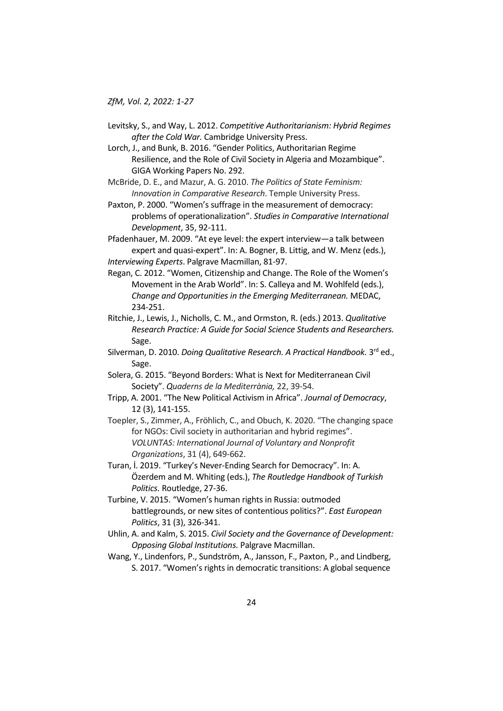- Levitsky, S., and Way, L. 2012. *Competitive Authoritarianism: Hybrid Regimes after the Cold War.* Cambridge University Press.
- Lorch, J., and Bunk, B. 2016. "Gender Politics, Authoritarian Regime Resilience, and the Role of Civil Society in Algeria and Mozambique". GIGA Working Papers No. 292.
- McBride, D. E., and Mazur, A. G. 2010. *The Politics of State Feminism: Innovation in Comparative Research*. Temple University Press.
- Paxton, P. 2000. "Women's suffrage in the measurement of democracy: problems of operationalization". *Studies in Comparative International Development*, 35, 92-111.
- Pfadenhauer, M. 2009. "At eye level: the expert interview—a talk between expert and quasi-expert". In: A. Bogner, B. Littig, and W. Menz (eds.), *Interviewing Experts*. Palgrave Macmillan, 81-97.
- Regan, C. 2012. "Women, Citizenship and Change. The Role of the Women's Movement in the Arab World". In: S. Calleya and M. Wohlfeld (eds.), *Change and Opportunities in the Emerging Mediterranean.* MEDAC, 234-251.
- Ritchie, J., Lewis, J., Nicholls, C. M., and Ormston, R. (eds.) 2013. *Qualitative Research Practice: A Guide for Social Science Students and Researchers.* Sage.
- Silverman, D. 2010. *Doing Qualitative Research. A Practical Handbook.* 3<sup>rd</sup> ed., Sage.
- Solera, G. 2015. "Beyond Borders: What is Next for Mediterranean Civil Society". *Quaderns de la Mediterrània,* 22, 39-54.
- Tripp, A. 2001. "The New Political Activism in Africa". *Journal of Democracy*, 12 (3), 141-155.
- Toepler, S., Zimmer, A., Fröhlich, C., and Obuch, K. 2020. "The changing space for NGOs: Civil society in authoritarian and hybrid regimes". *VOLUNTAS: International Journal of Voluntary and Nonprofit Organizations*, 31 (4), 649-662.
- Turan, İ. 2019. "Turkey's Never-Ending Search for Democracy". In: A. Özerdem and M. Whiting (eds.), *The Routledge Handbook of Turkish Politics.* Routledge, 27-36.
- Turbine, V. 2015. "Women's human rights in Russia: outmoded battlegrounds, or new sites of contentious politics?". *East European Politics*, 31 (3), 326-341.
- Uhlin, A. and Kalm, S. 2015. *Civil Society and the Governance of Development: Opposing Global Institutions.* Palgrave Macmillan.

Wang, Y., Lindenfors, P., Sundström, A., Jansson, F., Paxton, P., and Lindberg, S. 2017. "Women's rights in democratic transitions: A global sequence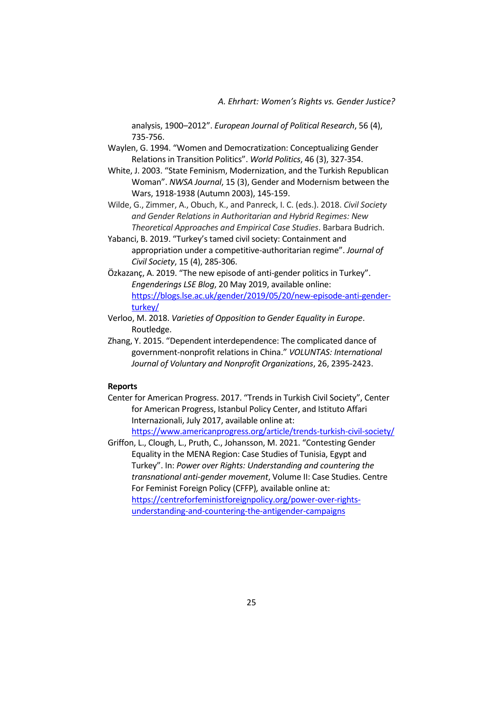*A. Ehrhart: Women's Rights vs. Gender Justice?*

analysis, 1900–2012". *European Journal of Political Research*, 56 (4), 735-756.

- Waylen, G. 1994. "Women and Democratization: Conceptualizing Gender Relations in Transition Politics". *World Politics*, 46 (3), 327-354.
- White, J. 2003. "State Feminism, Modernization, and the Turkish Republican Woman". *NWSA Journal*, 15 (3), Gender and Modernism between the Wars, 1918-1938 (Autumn 2003), 145-159.
- Wilde, G., Zimmer, A., Obuch, K., and Panreck, I. C. (eds.). 2018. *Civil Society and Gender Relations in Authoritarian and Hybrid Regimes: New Theoretical Approaches and Empirical Case Studies*. Barbara Budrich.
- Yabanci, B. 2019. "Turkey's tamed civil society: Containment and appropriation under a competitive-authoritarian regime". *Journal of Civil Society*, 15 (4), 285-306.
- Özkazanç, A. 2019. "The new episode of anti-gender politics in Turkey". *Engenderings LSE Blog*, 20 May 2019, available online: [https://blogs.lse.ac.uk/gender/2019/05/20/new-episode-anti-gender](https://blogs.lse.ac.uk/gender/2019/05/20/new-episode-anti-gender-turkey/)[turkey/](https://blogs.lse.ac.uk/gender/2019/05/20/new-episode-anti-gender-turkey/)
- Verloo, M. 2018. *Varieties of Opposition to Gender Equality in Europe*. Routledge.
- Zhang, Y. 2015. "Dependent interdependence: The complicated dance of government-nonprofit relations in China." *VOLUNTAS: International Journal of Voluntary and Nonprofit Organizations*, 26, 2395-2423.

# **Reports**

- Center for American Progress. 2017. "Trends in Turkish Civil Society", Center for American Progress, Istanbul Policy Center, and Istituto Affari Internazionali, July 2017, available online at: <https://www.americanprogress.org/article/trends-turkish-civil-society/>
- Griffon, L., Clough, L., Pruth, C., Johansson, M. 2021. "Contesting Gender Equality in the MENA Region: Case Studies of Tunisia, Egypt and Turkey". In: *Power over Rights: Understanding and countering the transnational anti-gender movement*, Volume II: Case Studies. Centre For Feminist Foreign Policy (CFFP)*,* available online at: [https://centreforfeministforeignpolicy.org/power-over-rights](https://centreforfeministforeignpolicy.org/power-over-rights-understanding-and-countering-the-antigender-campaigns)[understanding-and-countering-the-antigender-campaigns](https://centreforfeministforeignpolicy.org/power-over-rights-understanding-and-countering-the-antigender-campaigns)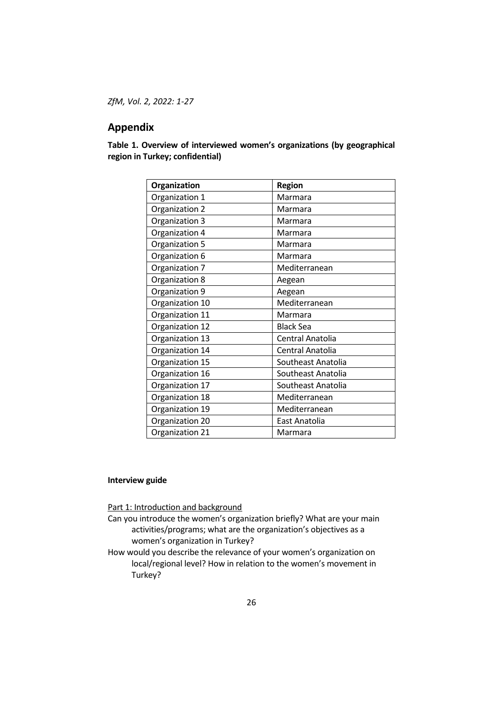# **Appendix**

**Table 1. Overview of interviewed women's organizations (by geographical region in Turkey; confidential)**

| Organization    | <b>Region</b>      |
|-----------------|--------------------|
| Organization 1  | Marmara            |
| Organization 2  | Marmara            |
| Organization 3  | Marmara            |
| Organization 4  | Marmara            |
| Organization 5  | Marmara            |
| Organization 6  | Marmara            |
| Organization 7  | Mediterranean      |
| Organization 8  | Aegean             |
| Organization 9  | Aegean             |
| Organization 10 | Mediterranean      |
| Organization 11 | Marmara            |
| Organization 12 | <b>Black Sea</b>   |
| Organization 13 | Central Anatolia   |
| Organization 14 | Central Anatolia   |
| Organization 15 | Southeast Anatolia |
| Organization 16 | Southeast Anatolia |
| Organization 17 | Southeast Anatolia |
| Organization 18 | Mediterranean      |
| Organization 19 | Mediterranean      |
| Organization 20 | East Anatolia      |
| Organization 21 | Marmara            |

# **Interview guide**

Part 1: Introduction and background

- Can you introduce the women's organization briefly? What are your main activities/programs; what are the organization's objectives as a women's organization in Turkey?
- How would you describe the relevance of your women's organization on local/regional level? How in relation to the women's movement in Turkey?